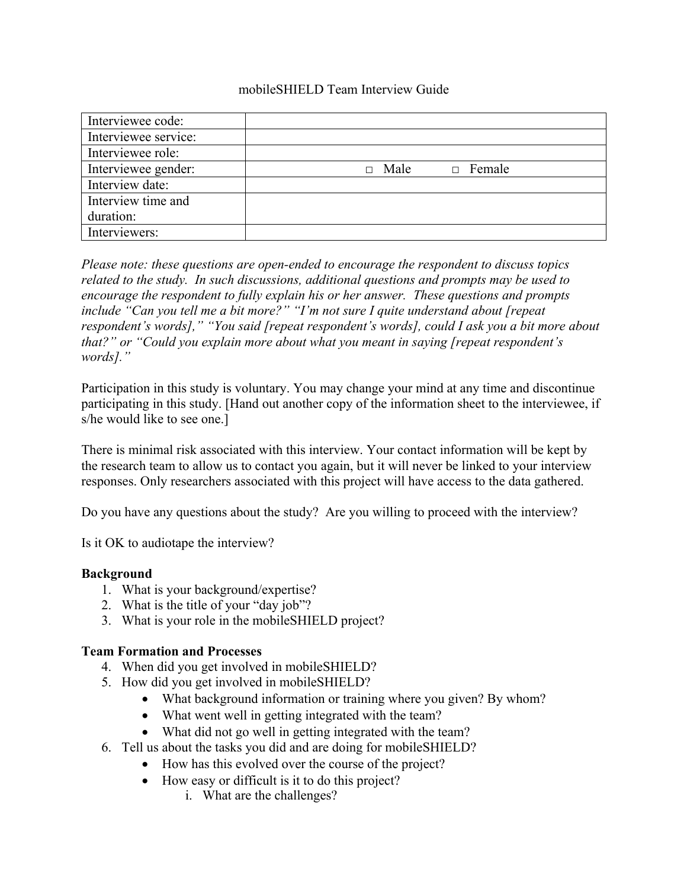#### mobileSHIELD Team Interview Guide

| Interviewee code:    |             |               |
|----------------------|-------------|---------------|
| Interviewee service: |             |               |
| Interviewee role:    |             |               |
| Interviewee gender:  | $\Box$ Male | $\Box$ Female |
| Interview date:      |             |               |
| Interview time and   |             |               |
| duration:            |             |               |
| Interviewers:        |             |               |

*Please note: these questions are open-ended to encourage the respondent to discuss topics related to the study. In such discussions, additional questions and prompts may be used to encourage the respondent to fully explain his or her answer. These questions and prompts include "Can you tell me a bit more?" "I'm not sure I quite understand about [repeat respondent's words]," "You said [repeat respondent's words], could I ask you a bit more about that?" or "Could you explain more about what you meant in saying [repeat respondent's words]."*

Participation in this study is voluntary. You may change your mind at any time and discontinue participating in this study. [Hand out another copy of the information sheet to the interviewee, if s/he would like to see one.]

There is minimal risk associated with this interview. Your contact information will be kept by the research team to allow us to contact you again, but it will never be linked to your interview responses. Only researchers associated with this project will have access to the data gathered.

Do you have any questions about the study? Are you willing to proceed with the interview?

Is it OK to audiotape the interview?

## **Background**

- 1. What is your background/expertise?
- 2. What is the title of your "day job"?
- 3. What is your role in the mobileSHIELD project?

#### **Team Formation and Processes**

- 4. When did you get involved in mobileSHIELD?
- 5. How did you get involved in mobileSHIELD?
	- What background information or training where you given? By whom?
	- What went well in getting integrated with the team?
	- What did not go well in getting integrated with the team?
- 6. Tell us about the tasks you did and are doing for mobileSHIELD?
	- How has this evolved over the course of the project?
	- How easy or difficult is it to do this project?
		- i. What are the challenges?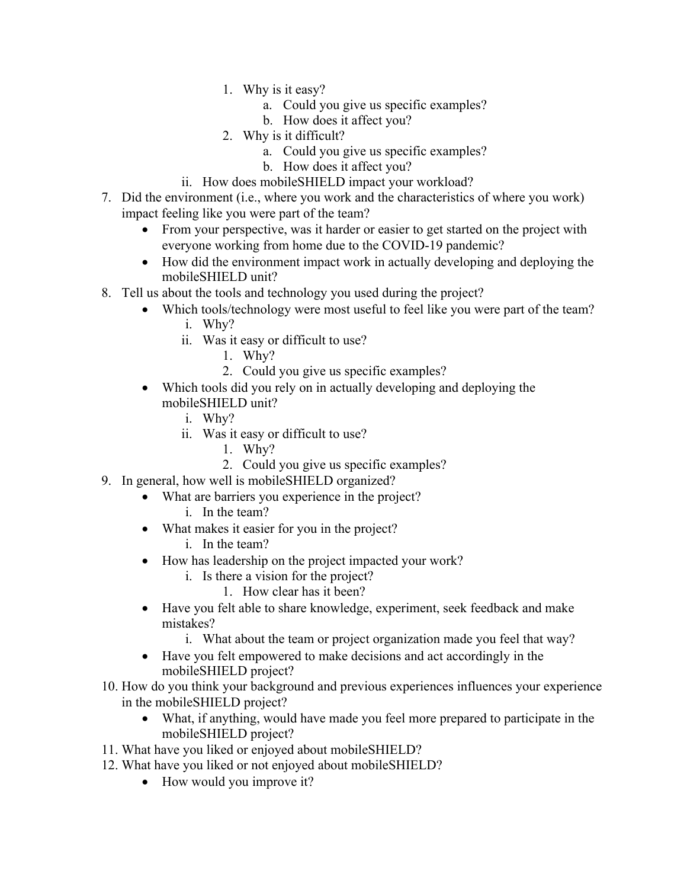- 1. Why is it easy?
	- a. Could you give us specific examples?
	- b. How does it affect you?
- 2. Why is it difficult?
	- a. Could you give us specific examples?
	- b. How does it affect you?
- ii. How does mobileSHIELD impact your workload?
- 7. Did the environment (i.e., where you work and the characteristics of where you work) impact feeling like you were part of the team?
	- From your perspective, was it harder or easier to get started on the project with everyone working from home due to the COVID-19 pandemic?
	- How did the environment impact work in actually developing and deploying the mobileSHIELD unit?
- 8. Tell us about the tools and technology you used during the project?
	- Which tools/technology were most useful to feel like you were part of the team?
		- i. Why?
		- ii. Was it easy or difficult to use?
			- 1. Why?
			- 2. Could you give us specific examples?
	- Which tools did you rely on in actually developing and deploying the mobileSHIELD unit?
		- i. Why?
		- ii. Was it easy or difficult to use?
			- 1. Why?
			- 2. Could you give us specific examples?
- 9. In general, how well is mobileSHIELD organized?
	- What are barriers you experience in the project?
		- i. In the team?
	- What makes it easier for you in the project?
		- i. In the team?
	- How has leadership on the project impacted your work?
		- i. Is there a vision for the project?
			- 1. How clear has it been?
	- Have you felt able to share knowledge, experiment, seek feedback and make mistakes?
		- i. What about the team or project organization made you feel that way?
	- Have you felt empowered to make decisions and act accordingly in the mobileSHIELD project?
- 10. How do you think your background and previous experiences influences your experience in the mobileSHIELD project?
	- What, if anything, would have made you feel more prepared to participate in the mobileSHIELD project?
- 11. What have you liked or enjoyed about mobileSHIELD?
- 12. What have you liked or not enjoyed about mobileSHIELD?
	- How would you improve it?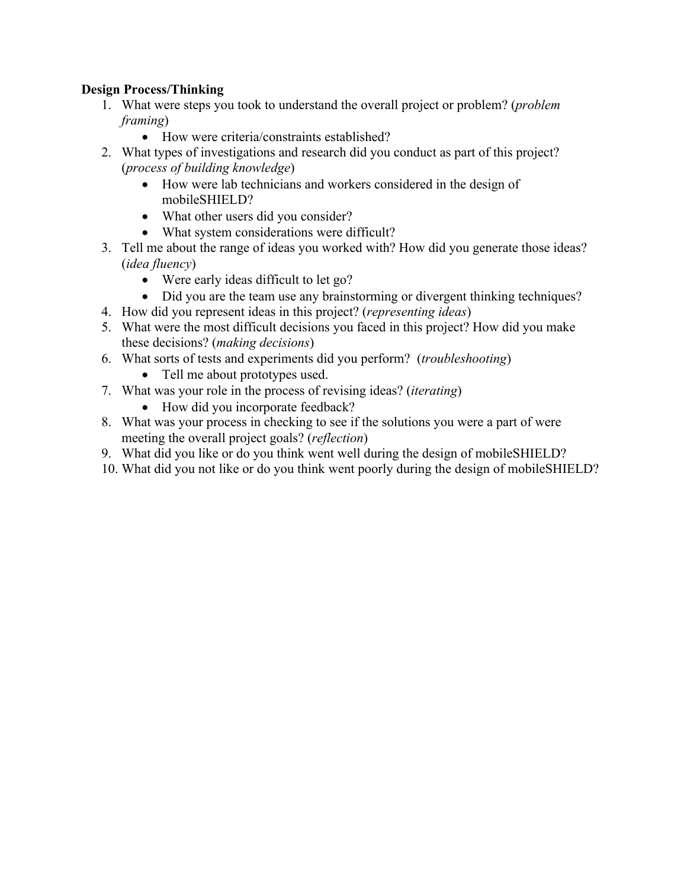# **Design Process/Thinking**

- 1. What were steps you took to understand the overall project or problem? (*problem framing*)
	- How were criteria/constraints established?
- 2. What types of investigations and research did you conduct as part of this project? (*process of building knowledge*)
	- How were lab technicians and workers considered in the design of mobileSHIELD?
	- What other users did you consider?
	- What system considerations were difficult?
- 3. Tell me about the range of ideas you worked with? How did you generate those ideas? (*idea fluency*)
	- Were early ideas difficult to let go?
	- Did you are the team use any brainstorming or divergent thinking techniques?
- 4. How did you represent ideas in this project? (*representing ideas*)
- 5. What were the most difficult decisions you faced in this project? How did you make these decisions? (*making decisions*)
- 6. What sorts of tests and experiments did you perform? (*troubleshooting*)
	- Tell me about prototypes used.
- 7. What was your role in the process of revising ideas? (*iterating*)
	- How did you incorporate feedback?
- 8. What was your process in checking to see if the solutions you were a part of were meeting the overall project goals? (*reflection*)
- 9. What did you like or do you think went well during the design of mobileSHIELD?
- 10. What did you not like or do you think went poorly during the design of mobileSHIELD?